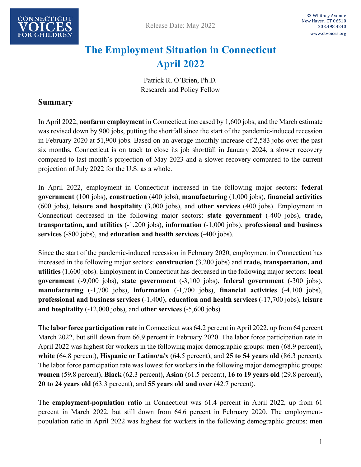

# **The Employment Situation in Connecticut April 2022**

Patrick R. O'Brien, Ph.D. Research and Policy Fellow

#### **Summary**

In April 2022, **nonfarm employment** in Connecticut increased by 1,600 jobs, and the March estimate was revised down by 900 jobs, putting the shortfall since the start of the pandemic-induced recession in February 2020 at 51,900 jobs. Based on an average monthly increase of 2,583 jobs over the past six months, Connecticut is on track to close its job shortfall in January 2024, a slower recovery compared to last month's projection of May 2023 and a slower recovery compared to the current projection of July 2022 for the U.S. as a whole.

In April 2022, employment in Connecticut increased in the following major sectors: **federal government** (100 jobs), **construction** (400 jobs), **manufacturing** (1,000 jobs), **financial activities**  (600 jobs), **leisure and hospitality** (3,000 jobs), and **other services** (400 jobs). Employment in Connecticut decreased in the following major sectors: **state government** (-400 jobs), **trade, transportation, and utilities** (-1,200 jobs), **information** (-1,000 jobs), **professional and business services** (-800 jobs), and **education and health services** (-400 jobs).

Since the start of the pandemic-induced recession in February 2020, employment in Connecticut has increased in the following major sectors: **construction** (3,200 jobs) and **trade, transportation, and utilities** (1,600 jobs). Employment in Connecticut has decreased in the following major sectors: **local government** (-9,000 jobs), **state government** (-3,100 jobs), **federal government** (-300 jobs), **manufacturing** (-1,700 jobs), **information** (-1,700 jobs), **financial activities** (-4,100 jobs), **professional and business services** (-1,400), **education and health services** (-17,700 jobs), **leisure and hospitality** (-12,000 jobs), and **other services** (-5,600 jobs).

The **labor force participation rate** in Connecticut was 64.2 percent in April 2022, up from 64 percent March 2022, but still down from 66.9 percent in February 2020. The labor force participation rate in April 2022 was highest for workers in the following major demographic groups: **men** (68.9 percent), **white** (64.8 percent), **Hispanic or Latino/a/x** (64.5 percent), and **25 to 54 years old** (86.3 percent). The labor force participation rate was lowest for workers in the following major demographic groups: **women** (59.8 percent), **Black** (62.3 percent), **Asian** (61.5 percent), **16 to 19 years old** (29.8 percent), **20 to 24 years old** (63.3 percent), and **55 years old and over** (42.7 percent).

The **employment-population ratio** in Connecticut was 61.4 percent in April 2022, up from 61 percent in March 2022, but still down from 64.6 percent in February 2020. The employmentpopulation ratio in April 2022 was highest for workers in the following demographic groups: **men**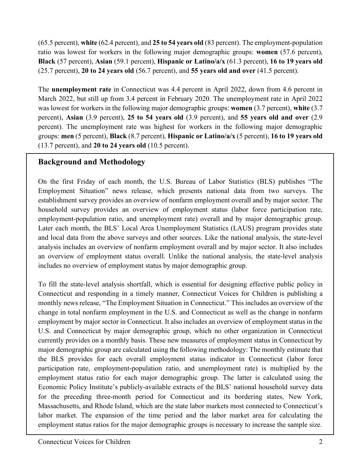(65.5 percent), **white** (62.4 percent), and **25 to 54 years old** (83 percent). The employment-population ratio was lowest for workers in the following major demographic groups: **women** (57.6 percent), **Black** (57 percent), **Asian** (59.1 percent), **Hispanic or Latino/a/x** (61.3 percent), **16 to 19 years old** (25.7 percent), **20 to 24 years old** (56.7 percent), and **55 years old and over** (41.5 percent).

The **unemployment rate** in Connecticut was 4.4 percent in April 2022, down from 4.6 percent in March 2022, but still up from 3.4 percent in February 2020. The unemployment rate in April 2022 was lowest for workers in the following major demographic groups: **women** (3.7 percent), **white** (3.7 percent), **Asian** (3.9 percent), **25 to 54 years old** (3.9 percent), and **55 years old and over** (2.9 percent). The unemployment rate was highest for workers in the following major demographic groups: **men** (5 percent), **Black** (8.7 percent), **Hispanic or Latino/a/x** (5 percent), **16 to 19 years old** (13.7 percent), and **20 to 24 years old** (10.5 percent).

### **Background and Methodology**

On the first Friday of each month, the U.S. Bureau of Labor Statistics (BLS) publishes "The Employment Situation" news release, which presents national data from two surveys. The establishment survey provides an overview of nonfarm employment overall and by major sector. The household survey provides an overview of employment status (labor force participation rate, employment-population ratio, and unemployment rate) overall and by major demographic group. Later each month, the BLS' Local Area Unemployment Statistics (LAUS) program provides state and local data from the above surveys and other sources. Like the national analysis, the state-level analysis includes an overview of nonfarm employment overall and by major sector. It also includes an overview of employment status overall. Unlike the national analysis, the state-level analysis includes no overview of employment status by major demographic group.

To fill the state-level analysis shortfall, which is essential for designing effective public policy in Connecticut and responding in a timely manner, Connecticut Voices for Children is publishing a monthly news release, "The Employment Situation in Connecticut." This includes an overview of the change in total nonfarm employment in the U.S. and Connecticut as well as the change in nonfarm employment by major sector in Connecticut. It also includes an overview of employment status in the U.S. and Connecticut by major demographic group, which no other organization in Connecticut currently provides on a monthly basis. These new measures of employment status in Connecticut by major demographic group are calculated using the following methodology: The monthly estimate that the BLS provides for each overall employment status indicator in Connecticut (labor force participation rate, employment-population ratio, and unemployment rate) is multiplied by the employment status ratio for each major demographic group. The latter is calculated using the Economic Policy Institute's publicly-available extracts of the BLS' national household survey data for the preceding three-month period for Connecticut and its bordering states, New York, Massachusetts, and Rhode Island, which are the state labor markets most connected to Connecticut's labor market. The expansion of the time period and the labor market area for calculating the employment status ratios for the major demographic groups is necessary to increase the sample size.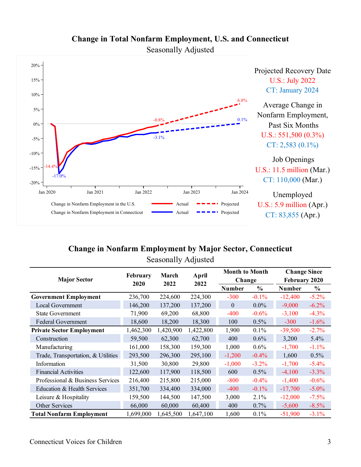



### **Change in Nonfarm Employment by Major Sector, Connecticut** Seasonally Adjusted

| <b>Major Sector</b>                | February<br>2020 | March<br>2022 | April<br>2022 | <b>Month to Month</b> |          | <b>Change Since</b> |          |
|------------------------------------|------------------|---------------|---------------|-----------------------|----------|---------------------|----------|
|                                    |                  |               |               | Change                |          | February 2020       |          |
|                                    |                  |               |               | Number                | $\%$     | <b>Number</b>       | $\%$     |
| <b>Government Employment</b>       | 236,700          | 224,600       | 224,300       | $-300$                | $-0.1%$  | $-12,400$           | $-5.2%$  |
| Local Government                   | 146,200          | 137,200       | 137,200       | $\overline{0}$        | $0.0\%$  | $-9,000$            | $-6.2%$  |
| <b>State Government</b>            | 71,900           | 69,200        | 68,800        | $-400$                | $-0.6%$  | $-3,100$            | $-4.3%$  |
| <b>Federal Government</b>          | 18,600           | 18,200        | 18,300        | 100                   | $0.5\%$  | $-300$              | $-1.6%$  |
| <b>Private Sector Employment</b>   | 1,462,300        | 1,420,900     | 1,422,800     | 1,900                 | $0.1\%$  | $-39,500$           | $-2.7%$  |
| Construction                       | 59,500           | 62,300        | 62,700        | 400                   | $0.6\%$  | 3,200               | 5.4%     |
| Manufacturing                      | 161,000          | 158,300       | 159,300       | 1,000                 | $0.6\%$  | $-1,700$            | $-1.1%$  |
| Trade, Transportation, & Utilities | 293,500          | 296,300       | 295,100       | $-1,200$              | $-0.4%$  | 1,600               | 0.5%     |
| Information                        | 31,500           | 30,800        | 29,800        | $-1,000$              | $-3.2%$  | $-1,700$            | $-5.4%$  |
| <b>Financial Activities</b>        | 122,600          | 117,900       | 118,500       | 600                   | $0.5\%$  | $-4,100$            | $-3.3%$  |
| Professional & Business Services   | 216,400          | 215,800       | 215,000       | $-800$                | $-0.4%$  | $-1,400$            | $-0.6%$  |
| Education & Health Services        | 351,700          | 334,400       | 334,000       | $-400$                | $-0.1\%$ | $-17,700$           | $-5.0\%$ |
| Leisure $&$ Hospitality            | 159,500          | 144,500       | 147,500       | 3,000                 | 2.1%     | $-12,000$           | $-7.5%$  |
| Other Services                     | 66,000           | 60,000        | 60,400        | 400                   | $0.7\%$  | $-5,600$            | $-8.5\%$ |
| <b>Total Nonfarm Employment</b>    | 1,699,000        | 1,645,500     | 1,647,100     | 1,600                 | 0.1%     | $-51,900$           | $-3.1%$  |